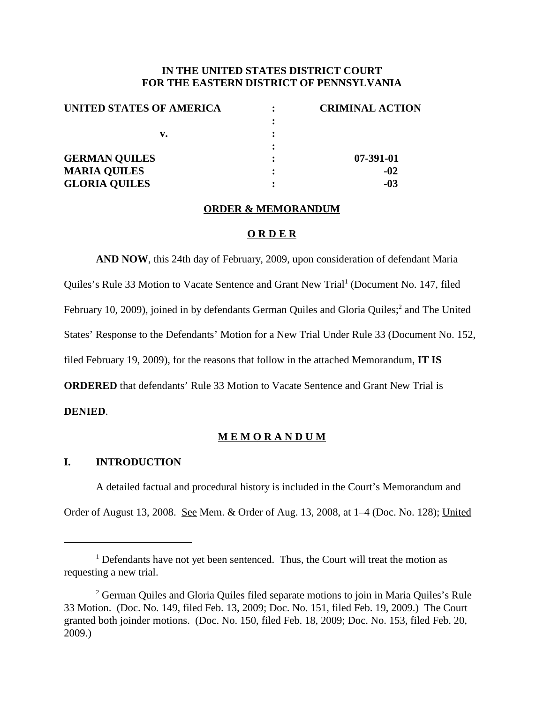# **IN THE UNITED STATES DISTRICT COURT FOR THE EASTERN DISTRICT OF PENNSYLVANIA**

| UNITED STATES OF AMERICA | <b>CRIMINAL ACTION</b> |
|--------------------------|------------------------|
|                          |                        |
| v.                       |                        |
|                          |                        |
| <b>GERMAN QUILES</b>     | 07-391-01              |
| <b>MARIA QUILES</b>      | $-02$                  |
| <b>GLORIA QUILES</b>     | $-03$                  |

#### **ORDER & MEMORANDUM**

### **O R D E R**

**AND NOW**, this 24th day of February, 2009, upon consideration of defendant Maria Quiles's Rule 33 Motion to Vacate Sentence and Grant New Trial <sup>1</sup> (Document No. 147, filed February 10, 2009), joined in by defendants German Quiles and Gloria Quiles;<sup>2</sup> and The United States' Response to the Defendants' Motion for a New Trial Under Rule 33 (Document No. 152, filed February 19, 2009), for the reasons that follow in the attached Memorandum, **IT IS ORDERED** that defendants' Rule 33 Motion to Vacate Sentence and Grant New Trial is

# **DENIED**.

## **M E M O R A N D U M**

### **I. INTRODUCTION**

A detailed factual and procedural history is included in the Court's Memorandum and Order of August 13, 2008. See Mem. & Order of Aug. 13, 2008, at 1–4 (Doc. No. 128); United

 $1$  Defendants have not yet been sentenced. Thus, the Court will treat the motion as requesting a new trial.

<sup>&</sup>lt;sup>2</sup> German Quiles and Gloria Quiles filed separate motions to join in Maria Quiles's Rule 33 Motion. (Doc. No. 149, filed Feb. 13, 2009; Doc. No. 151, filed Feb. 19, 2009.) The Court granted both joinder motions. (Doc. No. 150, filed Feb. 18, 2009; Doc. No. 153, filed Feb. 20, 2009.)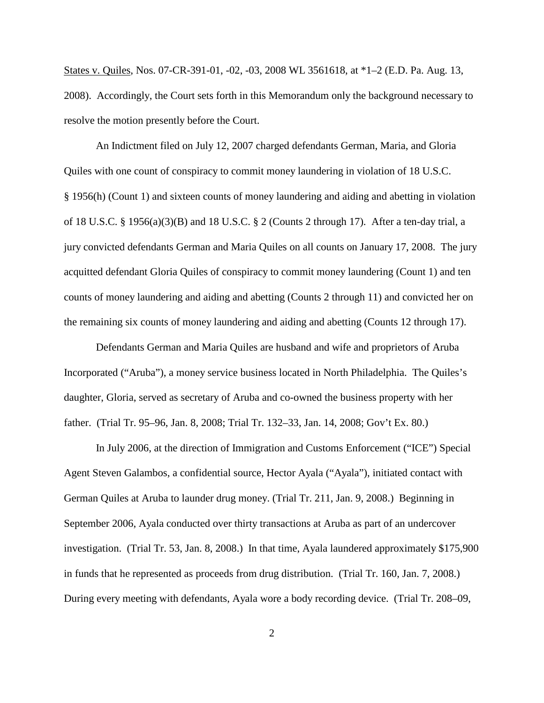States v. Quiles, Nos. 07-CR-391-01, -02, -03, 2008 WL 3561618, at \*1–2 (E.D. Pa. Aug. 13, 2008). Accordingly, the Court sets forth in this Memorandum only the background necessary to resolve the motion presently before the Court.

An Indictment filed on July 12, 2007 charged defendants German, Maria, and Gloria Quiles with one count of conspiracy to commit money laundering in violation of 18 U.S.C. § 1956(h) (Count 1) and sixteen counts of money laundering and aiding and abetting in violation of 18 U.S.C. § 1956(a)(3)(B) and 18 U.S.C. § 2 (Counts 2 through 17). After a ten-day trial, a jury convicted defendants German and Maria Quiles on all counts on January 17, 2008. The jury acquitted defendant Gloria Quiles of conspiracy to commit money laundering (Count 1) and ten counts of money laundering and aiding and abetting (Counts 2 through 11) and convicted her on the remaining six counts of money laundering and aiding and abetting (Counts 12 through 17).

Defendants German and Maria Quiles are husband and wife and proprietors of Aruba Incorporated ("Aruba"), a money service business located in North Philadelphia. The Quiles's daughter, Gloria, served as secretary of Aruba and co-owned the business property with her father. (Trial Tr. 95–96, Jan. 8, 2008; Trial Tr. 132–33, Jan. 14, 2008; Gov't Ex. 80.)

In July 2006, at the direction of Immigration and Customs Enforcement ("ICE") Special Agent Steven Galambos, a confidential source, Hector Ayala ("Ayala"), initiated contact with German Quiles at Aruba to launder drug money. (Trial Tr. 211, Jan. 9, 2008.) Beginning in September 2006, Ayala conducted over thirty transactions at Aruba as part of an undercover investigation. (Trial Tr. 53, Jan. 8, 2008.) In that time, Ayala laundered approximately \$175,900 in funds that he represented as proceeds from drug distribution. (Trial Tr. 160, Jan. 7, 2008.) During every meeting with defendants, Ayala wore a body recording device. (Trial Tr. 208–09,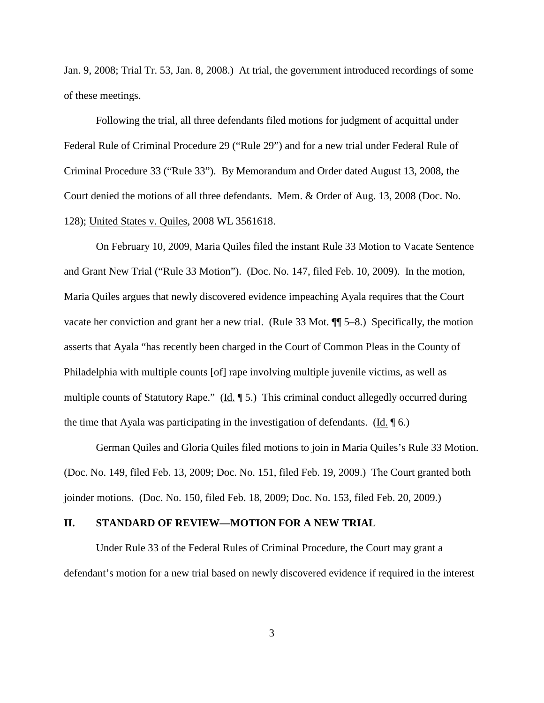Jan. 9, 2008; Trial Tr. 53, Jan. 8, 2008.) At trial, the government introduced recordings of some of these meetings.

Following the trial, all three defendants filed motions for judgment of acquittal under Federal Rule of Criminal Procedure 29 ("Rule 29") and for a new trial under Federal Rule of Criminal Procedure 33 ("Rule 33"). By Memorandum and Order dated August 13, 2008, the Court denied the motions of all three defendants. Mem. & Order of Aug. 13, 2008 (Doc. No. 128); United States v. Quiles, 2008 WL 3561618.

On February 10, 2009, Maria Quiles filed the instant Rule 33 Motion to Vacate Sentence and Grant New Trial ("Rule 33 Motion"). (Doc. No. 147, filed Feb. 10, 2009). In the motion, Maria Quiles argues that newly discovered evidence impeaching Ayala requires that the Court vacate her conviction and grant her a new trial. (Rule 33 Mot. ¶¶ 5–8.) Specifically, the motion asserts that Ayala "has recently been charged in the Court of Common Pleas in the County of Philadelphia with multiple counts [of] rape involving multiple juvenile victims, as well as multiple counts of Statutory Rape." (Id. ¶ 5.) This criminal conduct allegedly occurred during the time that Ayala was participating in the investigation of defendants. (Id. ¶ 6.)

German Quiles and Gloria Quiles filed motions to join in Maria Quiles's Rule 33 Motion. (Doc. No. 149, filed Feb. 13, 2009; Doc. No. 151, filed Feb. 19, 2009.) The Court granted both joinder motions. (Doc. No. 150, filed Feb. 18, 2009; Doc. No. 153, filed Feb. 20, 2009.)

## **II. STANDARD OF REVIEW—MOTION FOR A NEW TRIAL**

Under Rule 33 of the Federal Rules of Criminal Procedure, the Court may grant a defendant's motion for a new trial based on newly discovered evidence if required in the interest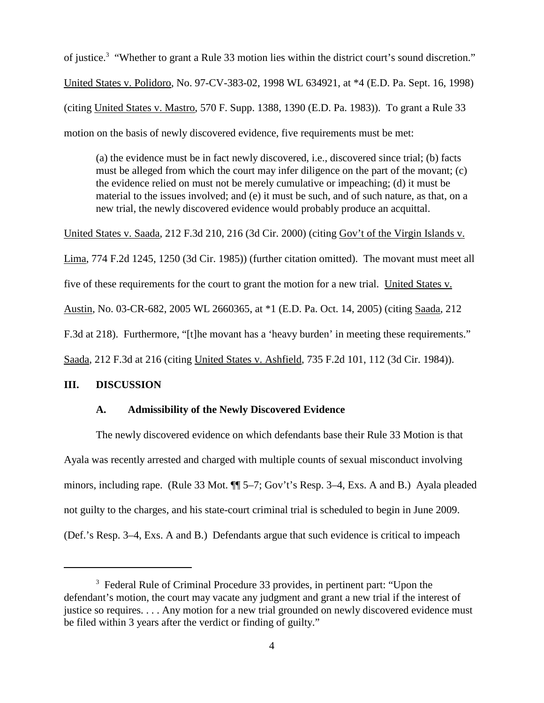of justice.<sup>3</sup> "Whether to grant a Rule 33 motion lies within the district court's sound discretion." United States v. Polidoro, No. 97-CV-383-02, 1998 WL 634921, at \*4 (E.D. Pa. Sept. 16, 1998) (citing United States v. Mastro, 570 F. Supp. 1388, 1390 (E.D. Pa. 1983)). To grant a Rule 33 motion on the basis of newly discovered evidence, five requirements must be met:

(a) the evidence must be in fact newly discovered, i.e., discovered since trial; (b) facts must be alleged from which the court may infer diligence on the part of the movant; (c) the evidence relied on must not be merely cumulative or impeaching; (d) it must be material to the issues involved; and (e) it must be such, and of such nature, as that, on a new trial, the newly discovered evidence would probably produce an acquittal.

United States v. Saada, 212 F.3d 210, 216 (3d Cir. 2000) (citing Gov't of the Virgin Islands v. Lima, 774 F.2d 1245, 1250 (3d Cir. 1985)) (further citation omitted). The movant must meet all five of these requirements for the court to grant the motion for a new trial. United States v. Austin, No. 03-CR-682, 2005 WL 2660365, at \*1 (E.D. Pa. Oct. 14, 2005) (citing Saada, 212 F.3d at 218). Furthermore, "[t]he movant has a 'heavy burden' in meeting these requirements." Saada, 212 F.3d at 216 (citing United States v. Ashfield, 735 F.2d 101, 112 (3d Cir. 1984)).

#### **III. DISCUSSION**

# **A. Admissibility of the Newly Discovered Evidence**

The newly discovered evidence on which defendants base their Rule 33 Motion is that Ayala was recently arrested and charged with multiple counts of sexual misconduct involving minors, including rape. (Rule 33 Mot.  $\P$  5–7; Gov't's Resp. 3–4, Exs. A and B.) Ayala pleaded not guilty to the charges, and his state-court criminal trial is scheduled to begin in June 2009. (Def.'s Resp. 3–4, Exs. A and B.) Defendants argue that such evidence is critical to impeach

<sup>3</sup> Federal Rule of Criminal Procedure 33 provides, in pertinent part: "Upon the defendant's motion, the court may vacate any judgment and grant a new trial if the interest of justice so requires. . . . Any motion for a new trial grounded on newly discovered evidence must be filed within 3 years after the verdict or finding of guilty."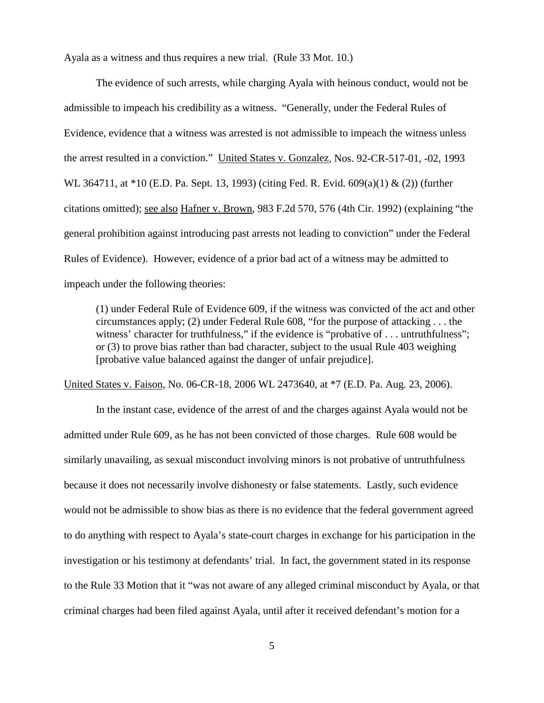Ayala as a witness and thus requires a new trial. (Rule 33 Mot. 10.)

The evidence of such arrests, while charging Ayala with heinous conduct, would not be admissible to impeach his credibility as a witness. "Generally, under the Federal Rules of Evidence, evidence that a witness was arrested is not admissible to impeach the witness unless the arrest resulted in a conviction." United States v. Gonzalez, Nos. 92-CR-517-01, -02, 1993 WL 364711, at \*10 (E.D. Pa. Sept. 13, 1993) (citing Fed. R. Evid. 609(a)(1) & (2)) (further citations omitted); see also Hafner v. Brown, 983 F.2d 570, 576 (4th Cir. 1992) (explaining "the general prohibition against introducing past arrests not leading to conviction" under the Federal Rules of Evidence). However, evidence of a prior bad act of a witness may be admitted to impeach under the following theories:

(1) under Federal Rule of Evidence 609, if the witness was convicted of the act and other circumstances apply; (2) under Federal Rule 608, "for the purpose of attacking . . . the witness' character for truthfulness," if the evidence is "probative of . . . untruthfulness"; or (3) to prove bias rather than bad character, subject to the usual Rule 403 weighing [probative value balanced against the danger of unfair prejudice].

United States v. Faison, No. 06-CR-18, 2006 WL 2473640, at \*7 (E.D. Pa. Aug. 23, 2006).

In the instant case, evidence of the arrest of and the charges against Ayala would not be admitted under Rule 609, as he has not been convicted of those charges. Rule 608 would be similarly unavailing, as sexual misconduct involving minors is not probative of untruthfulness because it does not necessarily involve dishonesty or false statements. Lastly, such evidence would not be admissible to show bias as there is no evidence that the federal government agreed to do anything with respect to Ayala's state-court charges in exchange for his participation in the investigation or his testimony at defendants' trial. In fact, the government stated in its response to the Rule 33 Motion that it "was not aware of any alleged criminal misconduct by Ayala, or that criminal charges had been filed against Ayala, until after it received defendant's motion for a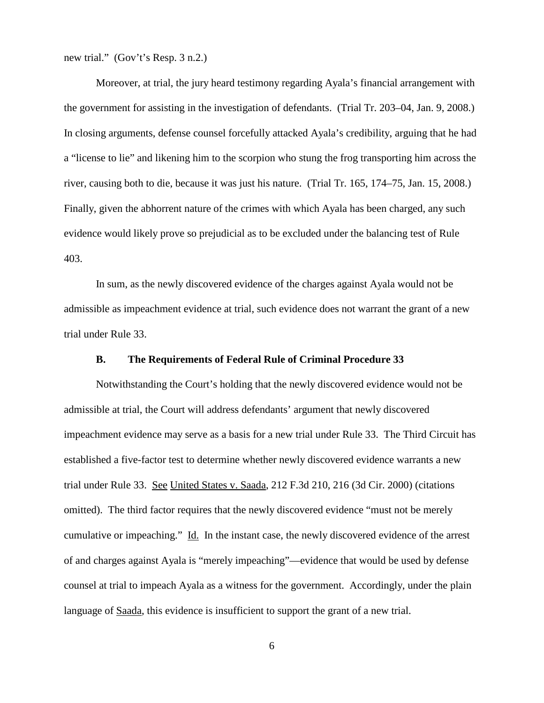new trial." (Gov't's Resp. 3 n.2.)

Moreover, at trial, the jury heard testimony regarding Ayala's financial arrangement with the government for assisting in the investigation of defendants. (Trial Tr. 203–04, Jan. 9, 2008.) In closing arguments, defense counsel forcefully attacked Ayala's credibility, arguing that he had a "license to lie" and likening him to the scorpion who stung the frog transporting him across the river, causing both to die, because it was just his nature. (Trial Tr. 165, 174–75, Jan. 15, 2008.) Finally, given the abhorrent nature of the crimes with which Ayala has been charged, any such evidence would likely prove so prejudicial as to be excluded under the balancing test of Rule 403.

In sum, as the newly discovered evidence of the charges against Ayala would not be admissible as impeachment evidence at trial, such evidence does not warrant the grant of a new trial under Rule 33.

## **B. The Requirements of Federal Rule of Criminal Procedure 33**

Notwithstanding the Court's holding that the newly discovered evidence would not be admissible at trial, the Court will address defendants' argument that newly discovered impeachment evidence may serve as a basis for a new trial under Rule 33. The Third Circuit has established a five-factor test to determine whether newly discovered evidence warrants a new trial under Rule 33. See United States v. Saada, 212 F.3d 210, 216 (3d Cir. 2000) (citations omitted). The third factor requires that the newly discovered evidence "must not be merely cumulative or impeaching." Id. In the instant case, the newly discovered evidence of the arrest of and charges against Ayala is "merely impeaching"—evidence that would be used by defense counsel at trial to impeach Ayala as a witness for the government. Accordingly, under the plain language of Saada, this evidence is insufficient to support the grant of a new trial.

6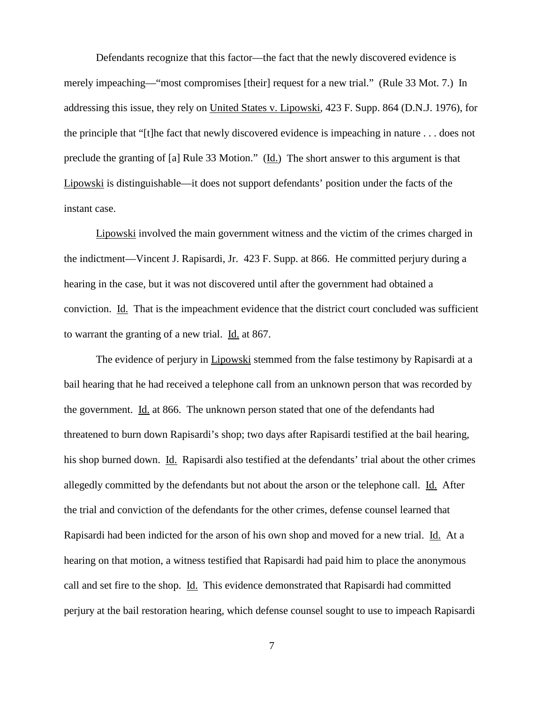Defendants recognize that this factor—the fact that the newly discovered evidence is merely impeaching—"most compromises [their] request for a new trial." (Rule 33 Mot. 7.) In addressing this issue, they rely on United States v. Lipowski, 423 F. Supp. 864 (D.N.J. 1976), for the principle that "[t]he fact that newly discovered evidence is impeaching in nature . . . does not preclude the granting of [a] Rule 33 Motion." (Id.) The short answer to this argument is that Lipowski is distinguishable—it does not support defendants' position under the facts of the instant case.

Lipowski involved the main government witness and the victim of the crimes charged in the indictment—Vincent J. Rapisardi, Jr. 423 F. Supp. at 866. He committed perjury during a hearing in the case, but it was not discovered until after the government had obtained a conviction. Id. That is the impeachment evidence that the district court concluded was sufficient to warrant the granting of a new trial. Id. at 867.

The evidence of perjury in Lipowski stemmed from the false testimony by Rapisardi at a bail hearing that he had received a telephone call from an unknown person that was recorded by the government. Id. at 866. The unknown person stated that one of the defendants had threatened to burn down Rapisardi's shop; two days after Rapisardi testified at the bail hearing, his shop burned down. Id. Rapisardi also testified at the defendants' trial about the other crimes allegedly committed by the defendants but not about the arson or the telephone call. Id. After the trial and conviction of the defendants for the other crimes, defense counsel learned that Rapisardi had been indicted for the arson of his own shop and moved for a new trial. Id. At a hearing on that motion, a witness testified that Rapisardi had paid him to place the anonymous call and set fire to the shop. Id. This evidence demonstrated that Rapisardi had committed perjury at the bail restoration hearing, which defense counsel sought to use to impeach Rapisardi

7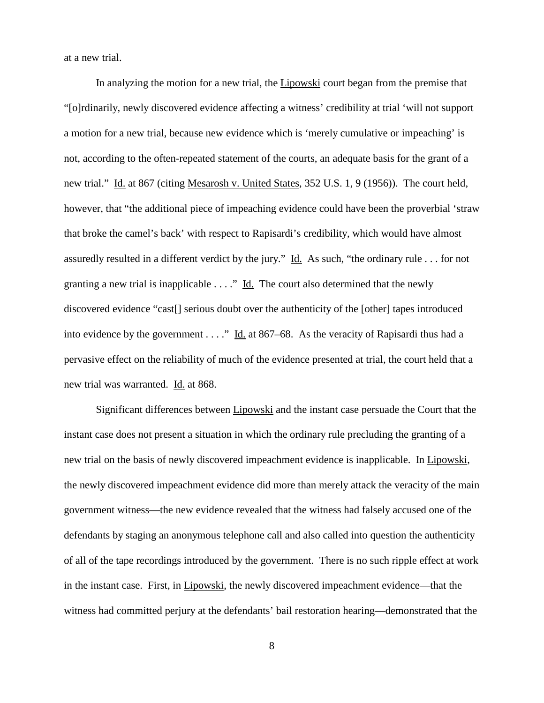at a new trial.

In analyzing the motion for a new trial, the **Lipowski** court began from the premise that "[o]rdinarily, newly discovered evidence affecting a witness' credibility at trial 'will not support a motion for a new trial, because new evidence which is 'merely cumulative or impeaching' is not, according to the often-repeated statement of the courts, an adequate basis for the grant of a new trial." Id. at 867 (citing Mesarosh v. United States, 352 U.S. 1, 9 (1956)). The court held, however, that "the additional piece of impeaching evidence could have been the proverbial 'straw that broke the camel's back' with respect to Rapisardi's credibility, which would have almost assuredly resulted in a different verdict by the jury." Id. As such, "the ordinary rule . . . for not granting a new trial is inapplicable . . . ." Id. The court also determined that the newly discovered evidence "cast[] serious doubt over the authenticity of the [other] tapes introduced into evidence by the government  $\dots$ ." Id. at 867–68. As the veracity of Rapisardi thus had a pervasive effect on the reliability of much of the evidence presented at trial, the court held that a new trial was warranted. Id. at 868.

Significant differences between Lipowski and the instant case persuade the Court that the instant case does not present a situation in which the ordinary rule precluding the granting of a new trial on the basis of newly discovered impeachment evidence is inapplicable. In Lipowski, the newly discovered impeachment evidence did more than merely attack the veracity of the main government witness—the new evidence revealed that the witness had falsely accused one of the defendants by staging an anonymous telephone call and also called into question the authenticity of all of the tape recordings introduced by the government. There is no such ripple effect at work in the instant case. First, in Lipowski, the newly discovered impeachment evidence—that the witness had committed perjury at the defendants' bail restoration hearing—demonstrated that the